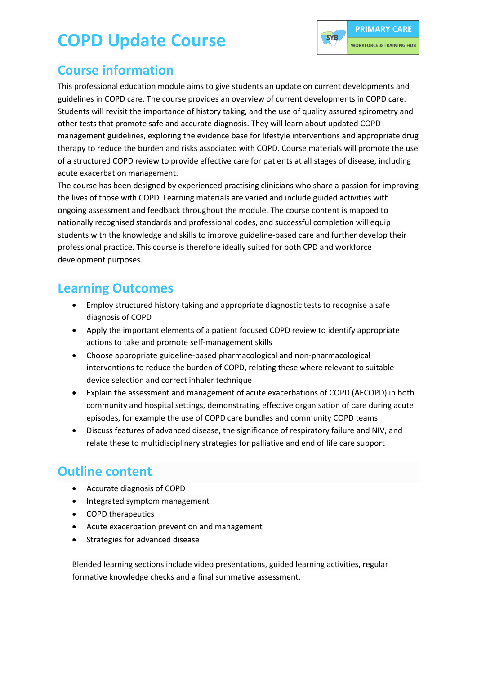## **COPD Update Course**



#### **Course information**

This professional education module aims to give students an update on current developments and guidelines in COPD care. The course provides an overview of current developments in COPD care. Students will revisit the importance of history taking, and the use of quality assured spirometry and other tests that promote safe and accurate diagnosis. They will learn about updated COPD management guidelines, exploring the evidence base for lifestyle interventions and appropriate drug therapy to reduce the burden and risks associated with COPD. Course materials will promote the use of a structured COPD review to provide effective care for patients at all stages of disease, including acute exacerbation management.

The course has been designed by experienced practising clinicians who share a passion for improving the lives of those with COPD. Learning materials are varied and include guided activities with ongoing assessment and feedback throughout the module. The course content is mapped to nationally recognised standards and professional codes, and successful completion will equip students with the knowledge and skills to improve guideline-based care and further develop their professional practice. This course is therefore ideally suited for both CPD and workforce development purposes.

#### **Learning Outcomes**

- Employ structured history taking and appropriate diagnostic tests to recognise a safe diagnosis of COPD
- Apply the important elements of a patient focused COPD review to identify appropriate actions to take and promote self-management skills
- Choose appropriate guideline-based pharmacological and non-pharmacological interventions to reduce the burden of COPD, relating these where relevant to suitable device selection and correct inhaler technique
- Explain the assessment and management of acute exacerbations of COPD (AECOPD) in both community and hospital settings, demonstrating effective organisation of care during acute episodes, for example the use of COPD care bundles and community COPD teams
- Discuss features of advanced disease, the significance of respiratory failure and NIV, and relate these to multidisciplinary strategies for palliative and end of life care support

#### **Outline content**

- Accurate diagnosis of COPD
- Integrated symptom management
- COPD therapeutics
- Acute exacerbation prevention and management
- Strategies for advanced disease

Blended learning sections include video presentations, guided learning activities, regular formative knowledge checks and a final summative assessment.